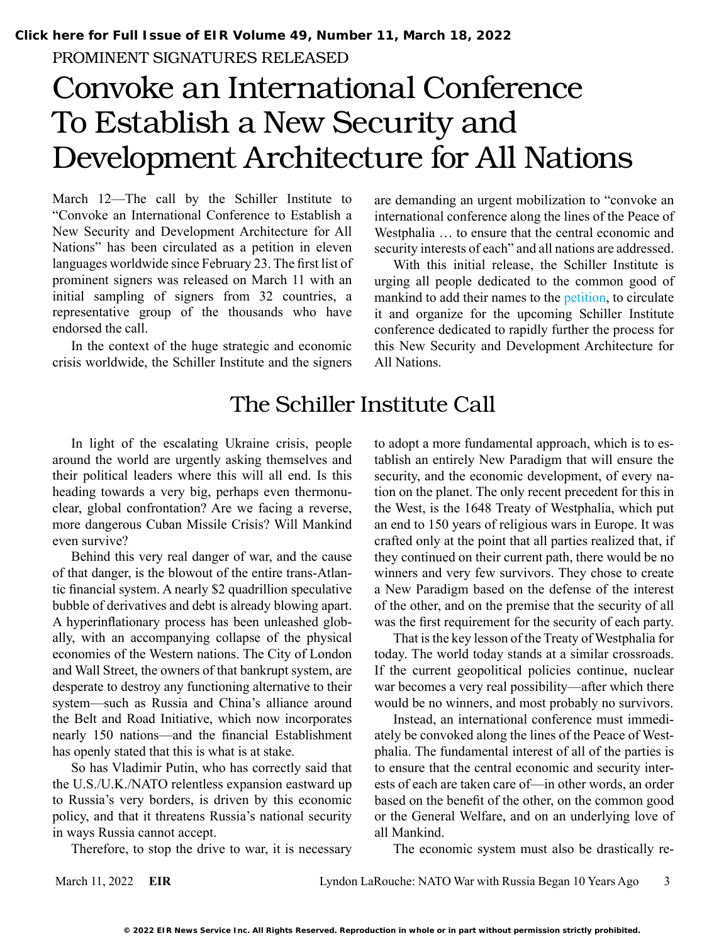PROMINENT SIGNATURES RELEASED

# Convoke an International Conference To Establish a New Security and Development Architecture for All Nations

March 12—The call by the Schiller Institute to "Convoke an International Conference to Establish a New Security and Development Architecture for All Nations" has been circulated as a petition in eleven languages worldwide since February 23. The first list of prominent signers was released on March 11 with an initial sampling of signers from 32 countries, a representative group of the thousands who have endorsed the call.

In the context of the huge strategic and economic crisis worldwide, the Schiller Institute and the signers

are demanding an urgent mobilization to "convoke an international conference along the lines of the Peace of Westphalia … to ensure that the central economic and security interests of each" and all nations are addressed.

With this initial release, the Schiller Institute is urging all people dedicated to the common good of mankind to add their names to the [petition](https://schillerinstitute.nationbuilder.com/convoke_an_international_conference_to_establish_a_new_security_and_development_architecture_for_all_nations), to circulate it and organize for the upcoming Schiller Institute conference dedicated to rapidly further the process for this New Security and Development Architecture for All Nations.

## The Schiller Institute Call

In light of the escalating Ukraine crisis, people around the world are urgently asking themselves and their political leaders where this will all end. Is this heading towards a very big, perhaps even thermonuclear, global confrontation? Are we facing a reverse, more dangerous Cuban Missile Crisis? Will Mankind even survive?

Behind this very real danger of war, and the cause of that danger, is the blowout of the entire trans-Atlantic financial system. A nearly \$2 quadrillion speculative bubble of derivatives and debt is already blowing apart. A hyperinflationary process has been unleashed globally, with an accompanying collapse of the physical economies of the Western nations. The City of London and Wall Street, the owners of that bankrupt system, are desperate to destroy any functioning alternative to their system—such as Russia and China's alliance around the Belt and Road Initiative, which now incorporates nearly 150 nations—and the financial Establishment has openly stated that this is what is at stake.

So has Vladimir Putin, who has correctly said that the U.S./U.K./NATO relentless expansion eastward up to Russia's very borders, is driven by this economic policy, and that it threatens Russia's national security in ways Russia cannot accept.

Therefore, to stop the drive to war, it is necessary

to adopt a more fundamental approach, which is to establish an entirely New Paradigm that will ensure the security, and the economic development, of every nation on the planet. The only recent precedent for this in the West, is the 1648 Treaty of Westphalia, which put an end to 150 years of religious wars in Europe. It was crafted only at the point that all parties realized that, if they continued on their current path, there would be no winners and very few survivors. They chose to create a New Paradigm based on the defense of the interest of the other, and on the premise that the security of all was the first requirement for the security of each party.

That is the key lesson of the Treaty of Westphalia for today. The world today stands at a similar crossroads. If the current geopolitical policies continue, nuclear war becomes a very real possibility—after which there would be no winners, and most probably no survivors.

Instead, an international conference must immediately be convoked along the lines of the Peace of Westphalia. The fundamental interest of all of the parties is to ensure that the central economic and security interests of each are taken care of—in other words, an order based on the benefit of the other, on the common good or the General Welfare, and on an underlying love of all Mankind.

The economic system must also be drastically re-

March 11, 2022 **EIR** Lyndon LaRouche: NATO War with Russia Began 10 Years Ago 3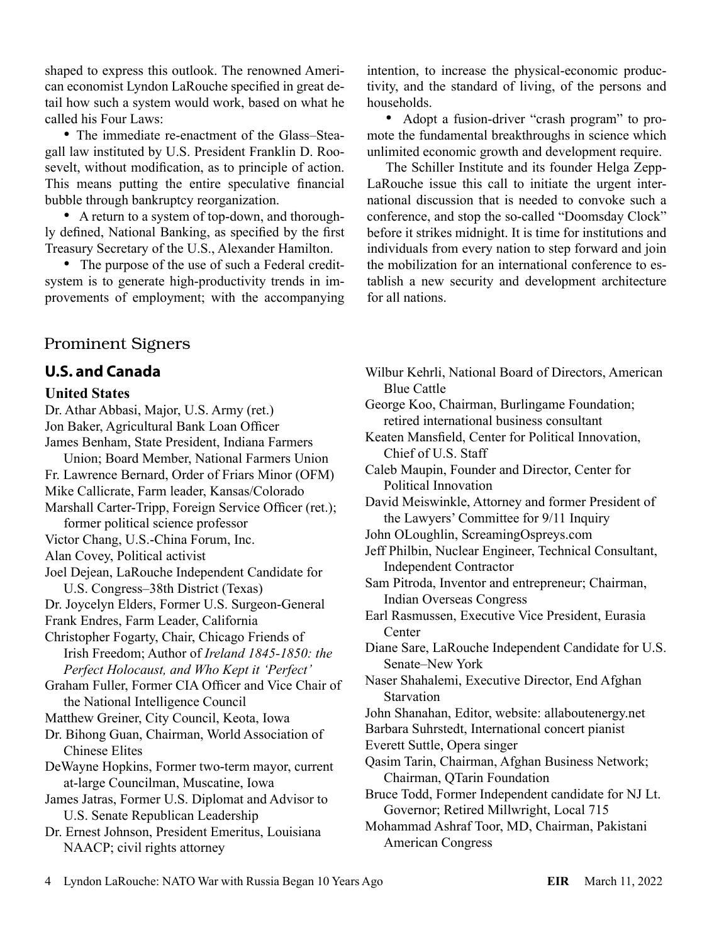shaped to express this outlook. The renowned American economist Lyndon LaRouche specified in great detail how such a system would work, based on what he called his Four Laws:

• The immediate re-enactment of the Glass–Steagall law instituted by U.S. President Franklin D. Roosevelt, without modification, as to principle of action. This means putting the entire speculative financial bubble through bankruptcy reorganization.

• A return to a system of top-down, and thoroughly defined, National Banking, as specified by the first Treasury Secretary of the U.S., Alexander Hamilton.

• The purpose of the use of such a Federal creditsystem is to generate high-productivity trends in improvements of employment; with the accompanying

## Prominent Signers

## **U.S. and Canada**

#### **United States**

Dr. Athar Abbasi, Major, U.S. Army (ret.) Jon Baker, Agricultural Bank Loan Officer James Benham, State President, Indiana Farmers Union; Board Member, National Farmers Union Fr. Lawrence Bernard, Order of Friars Minor (OFM) Mike Callicrate, Farm leader, Kansas/Colorado Marshall Carter-Tripp, Foreign Service Officer (ret.); former political science professor Victor Chang, U.S.-China Forum, Inc. Alan Covey, Political activist Joel Dejean, LaRouche Independent Candidate for U.S. Congress–38th District (Texas) Dr. Joycelyn Elders, Former U.S. Surgeon-General Frank Endres, Farm Leader, California Christopher Fogarty, Chair, Chicago Friends of Irish Freedom; Author of *Ireland 1845-1850: the Perfect Holocaust, and Who Kept it 'Perfect'* Graham Fuller, Former CIA Officer and Vice Chair of the National Intelligence Council Matthew Greiner, City Council, Keota, Iowa Dr. Bihong Guan, Chairman, World Association of Chinese Elites DeWayne Hopkins, Former two-term mayor, current at-large Councilman, Muscatine, Iowa James Jatras, Former U.S. Diplomat and Advisor to U.S. Senate Republican Leadership Dr. Ernest Johnson, President Emeritus, Louisiana NAACP; civil rights attorney

intention, to increase the physical-economic productivity, and the standard of living, of the persons and households.

• Adopt a fusion-driver "crash program" to promote the fundamental breakthroughs in science which unlimited economic growth and development require.

The Schiller Institute and its founder Helga Zepp-LaRouche issue this call to initiate the urgent international discussion that is needed to convoke such a conference, and stop the so-called "Doomsday Clock" before it strikes midnight. It is time for institutions and individuals from every nation to step forward and join the mobilization for an international conference to establish a new security and development architecture for all nations.

Wilbur Kehrli, National Board of Directors, American Blue Cattle

George Koo, Chairman, Burlingame Foundation; retired international business consultant

Keaten Mansfield, Center for Political Innovation, Chief of U.S. Staff

- Caleb Maupin, Founder and Director, Center for Political Innovation
- David Meiswinkle, Attorney and former President of the Lawyers' Committee for 9/11 Inquiry
- John OLoughlin, ScreamingOspreys.com
- Jeff Philbin, Nuclear Engineer, Technical Consultant, Independent Contractor

Sam Pitroda, Inventor and entrepreneur; Chairman, Indian Overseas Congress

- Earl Rasmussen, Executive Vice President, Eurasia Center
- Diane Sare, LaRouche Independent Candidate for U.S. Senate–New York
- Naser Shahalemi, Executive Director, End Afghan Starvation
- John Shanahan, Editor, website: allaboutenergy.net
- Barbara Suhrstedt, International concert pianist
- Everett Suttle, Opera singer
- Qasim Tarin, Chairman, Afghan Business Network; Chairman, QTarin Foundation
- Bruce Todd, Former Independent candidate for NJ Lt. Governor; Retired Millwright, Local 715
- Mohammad Ashraf Toor, MD, Chairman, Pakistani American Congress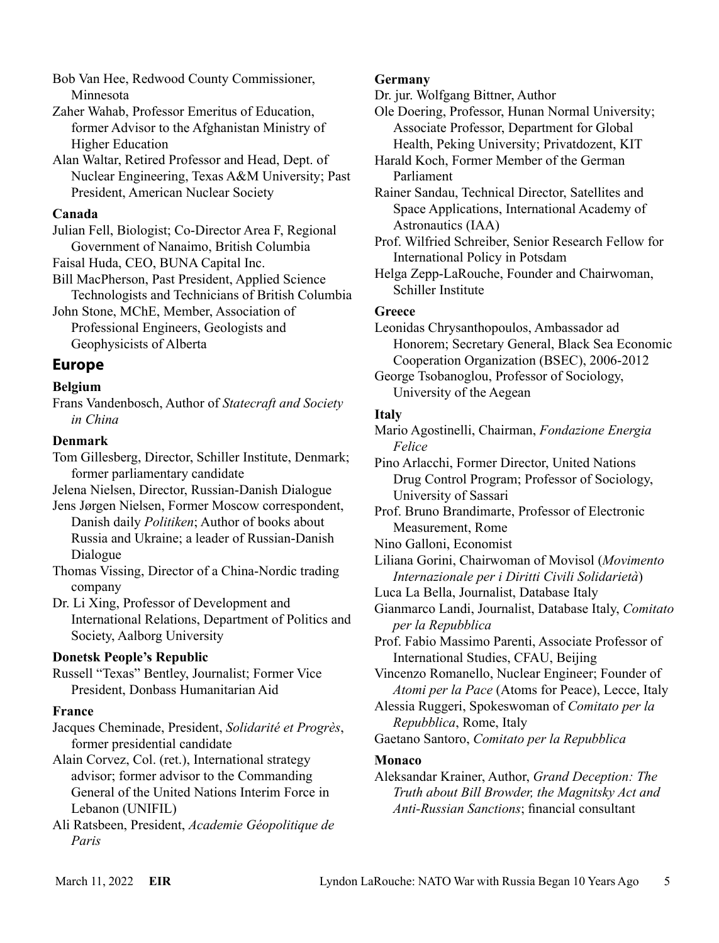Bob Van Hee, Redwood County Commissioner, Minnesota

Zaher Wahab, Professor Emeritus of Education, former Advisor to the Afghanistan Ministry of Higher Education

Alan Waltar, Retired Professor and Head, Dept. of Nuclear Engineering, Texas A&M University; Past President, American Nuclear Society

#### **Canada**

Julian Fell, Biologist; Co-Director Area F, Regional Government of Nanaimo, British Columbia

Faisal Huda, CEO, BUNA Capital Inc.

Bill MacPherson, Past President, Applied Science Technologists and Technicians of British Columbia

John Stone, MChE, Member, Association of Professional Engineers, Geologists and Geophysicists of Alberta

## **Europe**

## **Belgium**

Frans Vandenbosch, Author of *Statecraft and Society in China*

## **Denmark**

Tom Gillesberg, Director, Schiller Institute, Denmark; former parliamentary candidate

Jelena Nielsen, Director, Russian-Danish Dialogue

Jens Jørgen Nielsen, Former Moscow correspondent, Danish daily *Politiken*; Author of books about Russia and Ukraine; a leader of Russian-Danish Dialogue

Thomas Vissing, Director of a China-Nordic trading company

Dr. Li Xing, Professor of Development and International Relations, Department of Politics and Society, Aalborg University

## **Donetsk People's Republic**

Russell "Texas" Bentley, Journalist; Former Vice President, Donbass Humanitarian Aid

## **France**

Jacques Cheminade, President, *Solidarité et Progrès*, former presidential candidate

Alain Corvez, Col. (ret.), International strategy advisor; former advisor to the Commanding General of the United Nations Interim Force in Lebanon (UNIFIL)

Ali Ratsbeen, President, *Academie Géopolitique de Paris*

## **Germany**

Dr. jur. Wolfgang Bittner, Author

Ole Doering, Professor, Hunan Normal University; Associate Professor, Department for Global Health, Peking University; Privatdozent, KIT

Harald Koch, Former Member of the German Parliament

Rainer Sandau, Technical Director, Satellites and Space Applications, International Academy of Astronautics (IAA)

Prof. Wilfried Schreiber, Senior Research Fellow for International Policy in Potsdam

Helga Zepp-LaRouche, Founder and Chairwoman, Schiller Institute

## **Greece**

Leonidas Chrysanthopoulos, Ambassador ad Honorem; Secretary General, Black Sea Economic Cooperation Organization (BSEC), 2006-2012

George Tsobanoglou, Professor of Sociology, University of the Aegean

## **Italy**

Mario Agostinelli, Chairman, *Fondazione Energia Felice*

Pino Arlacchi, Former Director, United Nations Drug Control Program; Professor of Sociology, University of Sassari

Prof. Bruno Brandimarte, Professor of Electronic Measurement, Rome

Nino Galloni, Economist

Liliana Gorini, Chairwoman of Movisol (*Movimento Internazionale per i Diritti Civili Solidarietà*)

Luca La Bella, Journalist, Database Italy

Gianmarco Landi, Journalist, Database Italy, *Comitato per la Repubblica*

Prof. Fabio Massimo Parenti, Associate Professor of International Studies, CFAU, Beijing

Vincenzo Romanello, Nuclear Engineer; Founder of *Atomi per la Pace* (Atoms for Peace), Lecce, Italy

Alessia Ruggeri, Spokeswoman of *Comitato per la Repubblica*, Rome, Italy

Gaetano Santoro, *Comitato per la Repubblica*

## **Monaco**

Aleksandar Krainer, Author, *Grand Deception: The Truth about Bill Browder, the Magnitsky Act and Anti-Russian Sanctions*; financial consultant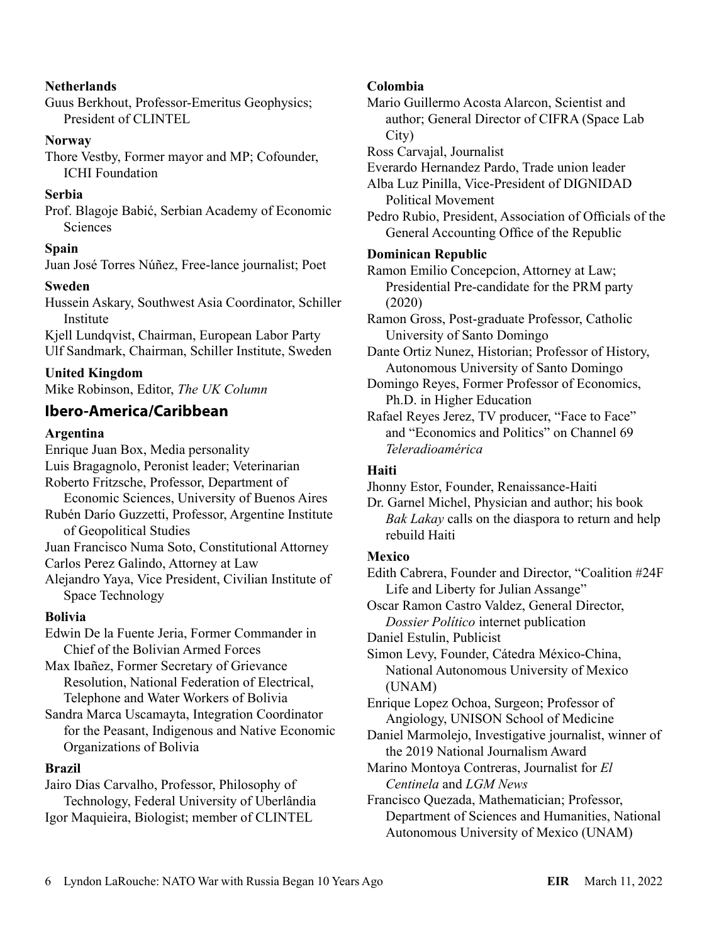#### **Netherlands**

Guus Berkhout, Professor-Emeritus Geophysics; President of CLINTEL

#### **Norway**

Thore Vestby, Former mayor and MP; Cofounder, ICHI Foundation

#### **Serbia**

Prof. Blagoje Babić, Serbian Academy of Economic **Sciences** 

#### **Spain**

Juan José Torres Núñez, Free-lance journalist; Poet

#### **Sweden**

Hussein Askary, Southwest Asia Coordinator, Schiller Institute

Kjell Lundqvist, Chairman, European Labor Party Ulf Sandmark, Chairman, Schiller Institute, Sweden

#### **United Kingdom**

Mike Robinson, Editor, *The UK Column*

## **Ibero-America/Caribbean**

#### **Argentina**

Enrique Juan Box, Media personality Luis Bragagnolo, Peronist leader; Veterinarian Roberto Fritzsche, Professor, Department of Economic Sciences, University of Buenos Aires Rubén Darío Guzzetti, Professor, Argentine Institute of Geopolitical Studies

Juan Francisco Numa Soto, Constitutional Attorney Carlos Perez Galindo, Attorney at Law

Alejandro Yaya, Vice President, Civilian Institute of Space Technology

#### **Bolivia**

Edwin De la Fuente Jeria, Former Commander in Chief of the Bolivian Armed Forces

Max Ibañez, Former Secretary of Grievance Resolution, National Federation of Electrical, Telephone and Water Workers of Bolivia

Sandra Marca Uscamayta, Integration Coordinator for the Peasant, Indigenous and Native Economic Organizations of Bolivia

#### **Brazil**

Jairo Dias Carvalho, Professor, Philosophy of Technology, Federal University of Uberlândia Igor Maquieira, Biologist; member of CLINTEL

#### **Colombia**

Mario Guillermo Acosta Alarcon, Scientist and author; General Director of CIFRA (Space Lab City)

Ross Carvajal, Journalist

Everardo Hernandez Pardo, Trade union leader

Alba Luz Pinilla, Vice-President of DIGNIDAD Political Movement

Pedro Rubio, President, Association of Officials of the General Accounting Office of the Republic

#### **Dominican Republic**

Ramon Emilio Concepcion, Attorney at Law; Presidential Pre-candidate for the PRM party (2020)

Ramon Gross, Post-graduate Professor, Catholic University of Santo Domingo

Dante Ortiz Nunez, Historian; Professor of History, Autonomous University of Santo Domingo

Domingo Reyes, Former Professor of Economics, Ph.D. in Higher Education

Rafael Reyes Jerez, TV producer, "Face to Face" and "Economics and Politics" on Channel 69 *Teleradioamérica*

#### **Haiti**

Jhonny Estor, Founder, Renaissance-Haiti

Dr. Garnel Michel, Physician and author; his book *Bak Lakay* calls on the diaspora to return and help rebuild Haiti

#### **Mexico**

Edith Cabrera, Founder and Director, "Coalition #24F Life and Liberty for Julian Assange"

Oscar Ramon Castro Valdez, General Director, *Dossier Político* internet publication

Daniel Estulin, Publicist

Simon Levy, Founder, Cátedra México-China, National Autonomous University of Mexico (UNAM)

Enrique Lopez Ochoa, Surgeon; Professor of Angiology, UNISON School of Medicine

Daniel Marmolejo, Investigative journalist, winner of the 2019 National Journalism Award

Marino Montoya Contreras, Journalist for *El Centinela* and *LGM News*

Francisco Quezada, Mathematician; Professor, Department of Sciences and Humanities, National Autonomous University of Mexico (UNAM)